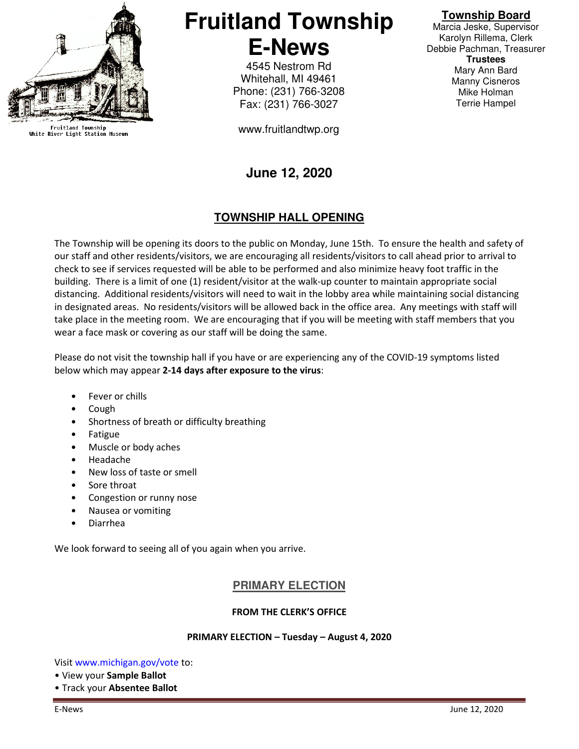

Fruitland Township<br>White River Light Station Museum

# **Fruitland Township E-News**

4545 Nestrom Rd Whitehall, MI 49461 Phone: (231) 766-3208 Fax: (231) 766-3027

www.fruitlandtwp.org

# **June 12, 2020**

## **TOWNSHIP HALL OPENING**

## **Township Board**

Marcia Jeske, Supervisor Karolyn Rillema, Clerk Debbie Pachman, Treasurer **Trustees**  Mary Ann Bard Manny Cisneros Mike Holman Terrie Hampel

The Township will be opening its doors to the public on Monday, June 15th. To ensure the health and safety of our staff and other residents/visitors, we are encouraging all residents/visitors to call ahead prior to arrival to check to see if services requested will be able to be performed and also minimize heavy foot traffic in the building. There is a limit of one (1) resident/visitor at the walk-up counter to maintain appropriate social distancing. Additional residents/visitors will need to wait in the lobby area while maintaining social distancing in designated areas. No residents/visitors will be allowed back in the office area. Any meetings with staff will take place in the meeting room. We are encouraging that if you will be meeting with staff members that you wear a face mask or covering as our staff will be doing the same.

Please do not visit the township hall if you have or are experiencing any of the COVID-19 symptoms listed below which may appear 2-14 days after exposure to the virus:

- Fever or chills
- Cough
- Shortness of breath or difficulty breathing
- **Fatigue**
- Muscle or body aches
- Headache
- New loss of taste or smell
- Sore throat
- Congestion or runny nose
- Nausea or vomiting
- Diarrhea

We look forward to seeing all of you again when you arrive.

## **PRIMARY ELECTION**

### FROM THE CLERK'S OFFICE

#### PRIMARY ELECTION – Tuesday – August 4, 2020

Visit www.michigan.gov/vote to:

- View your Sample Ballot
- Track your Absentee Ballot